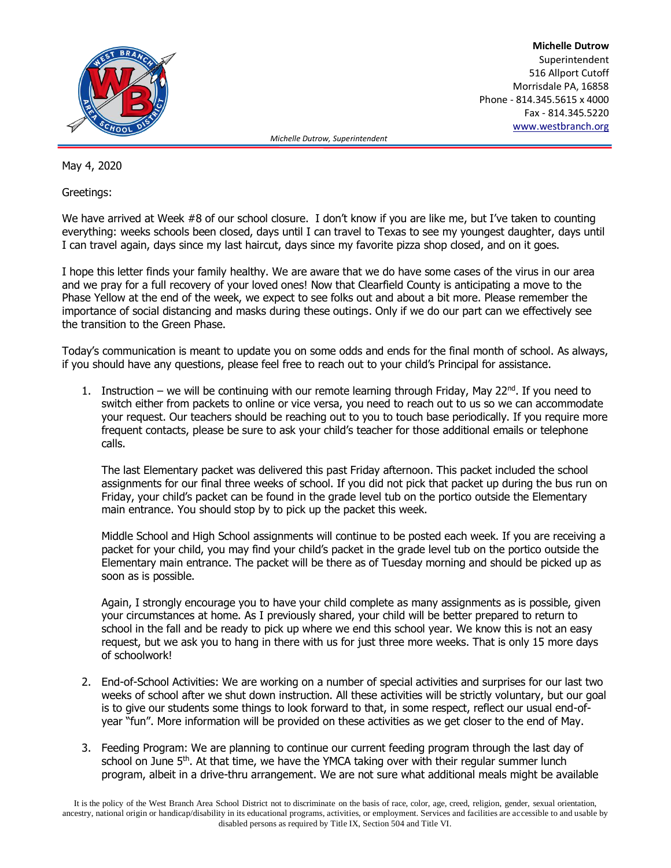

**Michelle Dutrow** Superintendent 516 Allport Cutoff Morrisdale PA, 16858 Phone - 814.345.5615 x 4000 Fax - 814.345.5220 [www.westbranch.org](http://www.westbranch.org/)

 *Michelle Dutrow, Superintendent*

May 4, 2020

Greetings:

We have arrived at Week #8 of our school closure. I don't know if you are like me, but I've taken to counting everything: weeks schools been closed, days until I can travel to Texas to see my youngest daughter, days until I can travel again, days since my last haircut, days since my favorite pizza shop closed, and on it goes.

I hope this letter finds your family healthy. We are aware that we do have some cases of the virus in our area and we pray for a full recovery of your loved ones! Now that Clearfield County is anticipating a move to the Phase Yellow at the end of the week, we expect to see folks out and about a bit more. Please remember the importance of social distancing and masks during these outings. Only if we do our part can we effectively see the transition to the Green Phase.

Today's communication is meant to update you on some odds and ends for the final month of school. As always, if you should have any questions, please feel free to reach out to your child's Principal for assistance.

1. Instruction – we will be continuing with our remote learning through Friday, May 22<sup>nd</sup>. If you need to switch either from packets to online or vice versa, you need to reach out to us so we can accommodate your request. Our teachers should be reaching out to you to touch base periodically. If you require more frequent contacts, please be sure to ask your child's teacher for those additional emails or telephone calls.

The last Elementary packet was delivered this past Friday afternoon. This packet included the school assignments for our final three weeks of school. If you did not pick that packet up during the bus run on Friday, your child's packet can be found in the grade level tub on the portico outside the Elementary main entrance. You should stop by to pick up the packet this week.

Middle School and High School assignments will continue to be posted each week. If you are receiving a packet for your child, you may find your child's packet in the grade level tub on the portico outside the Elementary main entrance. The packet will be there as of Tuesday morning and should be picked up as soon as is possible.

Again, I strongly encourage you to have your child complete as many assignments as is possible, given your circumstances at home. As I previously shared, your child will be better prepared to return to school in the fall and be ready to pick up where we end this school year. We know this is not an easy request, but we ask you to hang in there with us for just three more weeks. That is only 15 more days of schoolwork!

- 2. End-of-School Activities: We are working on a number of special activities and surprises for our last two weeks of school after we shut down instruction. All these activities will be strictly voluntary, but our goal is to give our students some things to look forward to that, in some respect, reflect our usual end-ofyear "fun". More information will be provided on these activities as we get closer to the end of May.
- 3. Feeding Program: We are planning to continue our current feeding program through the last day of school on June  $5<sup>th</sup>$ . At that time, we have the YMCA taking over with their regular summer lunch program, albeit in a drive-thru arrangement. We are not sure what additional meals might be available

It is the policy of the West Branch Area School District not to discriminate on the basis of race, color, age, creed, religion, gender, sexual orientation, ancestry, national origin or handicap/disability in its educational programs, activities, or employment. Services and facilities are accessible to and usable by disabled persons as required by Title IX, Section 504 and Title VI.